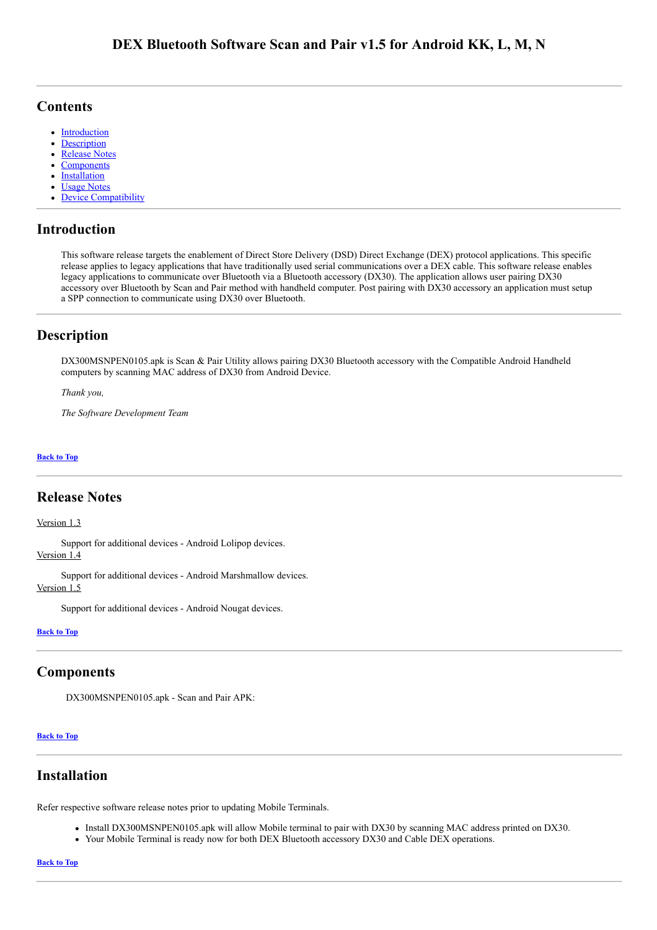## <span id="page-0-5"></span>**Contents**

- **[Introduction](#page-0-0)**  $\bullet$
- [Description](#page-0-1)
- [Release Notes](#page-0-2)
- **[Components](#page-0-3)**
- **[Installation](#page-0-4)**
- [Usage Notes](#page-1-0)
- [Device Compatibility](#page-1-1)

## <span id="page-0-0"></span>Introduction

This software release targets the enablement of Direct Store Delivery (DSD) Direct Exchange (DEX) protocol applications. This specific release applies to legacy applications that have traditionally used serial communications over a DEX cable. This software release enables legacy applications to communicate over Bluetooth via a Bluetooth accessory (DX30). The application allows user pairing DX30 accessory over Bluetooth by Scan and Pair method with handheld computer. Post pairing with DX30 accessory an application must setup a SPP connection to communicate using DX30 over Bluetooth.

## <span id="page-0-1"></span>Description

DX300MSNPEN0105.apk is Scan & Pair Utility allows pairing DX30 Bluetooth accessory with the Compatible Android Handheld computers by scanning MAC address of DX30 from Android Device.

*Thank you,*

*The Software Development Team*

### [Back](#page-0-5) to Top

## <span id="page-0-2"></span>Release Notes

#### Version 1.3

Support for additional devices - Android Lolipop devices. Version 1.4

Support for additional devices - Android Marshmallow devices. Version 1.5

Support for additional devices - Android Nougat devices.

#### [Back](#page-0-5) to Top

## <span id="page-0-3"></span>Components

DX300MSNPEN0105.apk - Scan and Pair APK:

#### [Back](#page-0-5) to Top

## <span id="page-0-4"></span>Installation

Refer respective software release notes prior to updating Mobile Terminals.

- Install DX300MSNPEN0105.apk will allow Mobile terminal to pair with DX30 by scanning MAC address printed on DX30.
- Your Mobile Terminal is ready now for both DEX Bluetooth accessory DX30 and Cable DEX operations.